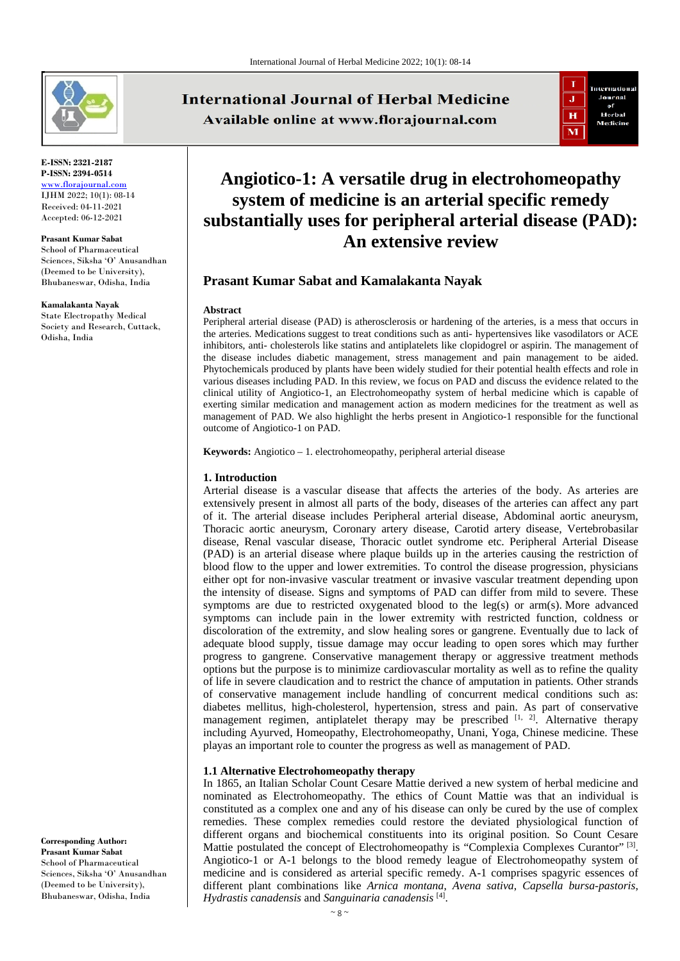

**E-ISSN: 2321-2187 P-ISSN: 2394-0514** [www.florajournal.com](file://Server/test/Flora%20Journal/Issue/8%20vol/2%20issue/www.florajournal.com) IJHM 2022; 10(1): 08-14 Received: 04-11-2021 Accepted: 06-12-2021

**Prasant Kumar Sabat** School of Pharmaceutical Sciences, Siksha 'O' Anusandhan (Deemed to be University), Bhubaneswar, Odisha, India

#### **Kamalakanta Nayak**

State Electropathy Medical Society and Research, Cuttack, Odisha, India

**International Journal of Herbal Medicine** Available online at www.florajournal.com



# **Angiotico-1: A versatile drug in electrohomeopathy system of medicine is an arterial specific remedy substantially uses for peripheral arterial disease (PAD): An extensive review**

## **Prasant Kumar Sabat and Kamalakanta Nayak**

#### **Abstract**

Peripheral arterial disease (PAD) is atherosclerosis or hardening of the arteries, is a mess that occurs in the arteries. Medications suggest to treat conditions such as anti- hypertensives like vasodilators or ACE inhibitors, anti- cholesterols like statins and antiplatelets like clopidogrel or aspirin. The management of the disease includes diabetic management, stress management and pain management to be aided. Phytochemicals produced by plants have been widely studied for their potential health effects and role in various diseases including PAD. In this review, we focus on PAD and discuss the evidence related to the clinical utility of Angiotico-1, an Electrohomeopathy system of herbal medicine which is capable of exerting similar medication and management action as modern medicines for the treatment as well as management of PAD. We also highlight the herbs present in Angiotico-1 responsible for the functional outcome of Angiotico-1 on PAD.

**Keywords:** Angiotico – 1. electrohomeopathy, peripheral arterial disease

#### **1. Introduction**

Arterial disease is a vascular disease that affects the arteries of the body. As arteries are extensively present in almost all parts of the body, diseases of the arteries can affect any part of it. The arterial disease includes Peripheral arterial disease, Abdominal aortic aneurysm, Thoracic aortic aneurysm, Coronary artery disease, Carotid artery disease, Vertebrobasilar disease, Renal vascular disease, Thoracic outlet syndrome etc. Peripheral Arterial Disease (PAD) is an arterial disease where plaque builds up in the arteries causing the restriction of blood flow to the upper and lower extremities. To control the disease progression, physicians either opt for non-invasive vascular treatment or invasive vascular treatment depending upon the intensity of disease. Signs and symptoms of PAD can differ from mild to severe. These symptoms are due to restricted oxygenated blood to the leg(s) or arm(s). More advanced symptoms can include pain in the lower extremity with restricted function, coldness or discoloration of the extremity, and slow healing sores or gangrene. Eventually due to lack of adequate blood supply, tissue damage may occur leading to open sores which may further progress to gangrene. Conservative management therapy or aggressive treatment methods options but the purpose is to minimize cardiovascular mortality as well as to refine the quality of life in severe claudication and to restrict the chance of amputation in patients. Other strands of conservative management include handling of concurrent medical conditions such as: diabetes mellitus, high-cholesterol, hypertension, stress and pain. As part of conservative management regimen, antiplatelet therapy may be prescribed  $[1, 2]$ . Alternative therapy including Ayurved, Homeopathy, Electrohomeopathy, Unani, Yoga, Chinese medicine. These playas an important role to counter the progress as well as management of PAD.

#### **1.1 Alternative Electrohomeopathy therapy**

In 1865, an Italian Scholar Count Cesare Mattie derived a new system of herbal medicine and nominated as Electrohomeopathy. The ethics of Count Mattie was that an individual is constituted as a complex one and any of his disease can only be cured by the use of complex remedies. These complex remedies could restore the deviated physiological function of different organs and biochemical constituents into its original position. So Count Cesare Mattie postulated the concept of Electrohomeopathy is "Complexia Complexes Curantor" [3]. Angiotico-1 or A-1 belongs to the blood remedy league of Electrohomeopathy system of medicine and is considered as arterial specific remedy. A-1 comprises spagyric essences of different plant combinations like *Arnica montana*, *Avena sativa*, *Capsella bursa-pastoris*, *Hydrastis canadensis* and *Sanguinaria canadensis* [4].

**Corresponding Author: Prasant Kumar Sabat** School of Pharmaceutical Sciences, Siksha 'O' Anusandhan (Deemed to be University), Bhubaneswar, Odisha, India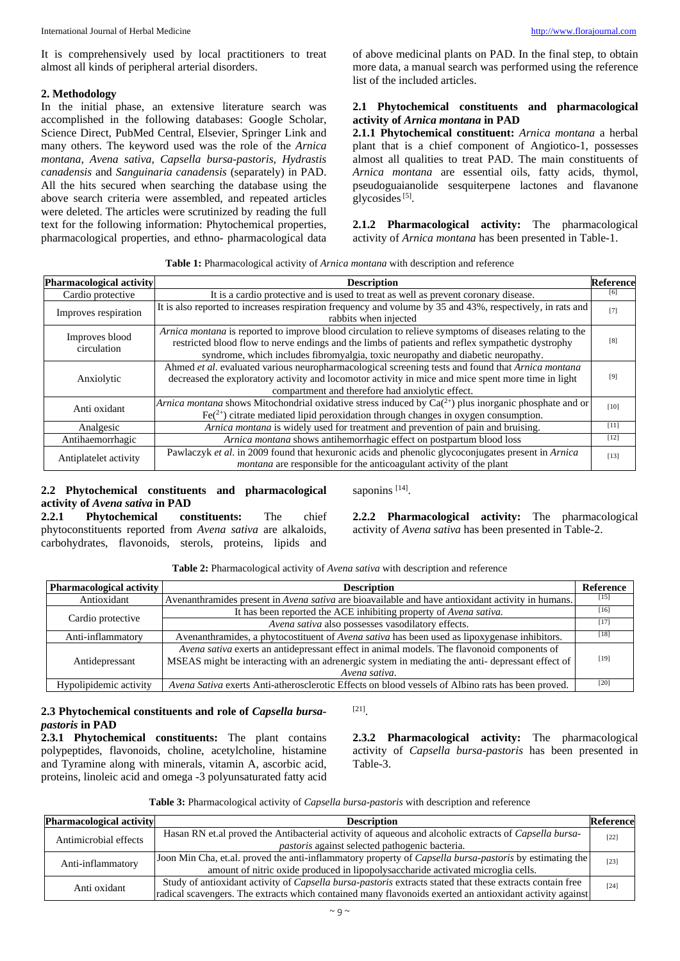It is comprehensively used by local practitioners to treat almost all kinds of peripheral arterial disorders.

## **2. Methodology**

In the initial phase, an extensive literature search was accomplished in the following databases: Google Scholar, Science Direct, PubMed Central, Elsevier, Springer Link and many others. The keyword used was the role of the *Arnica montana*, *Avena sativa*, *Capsella bursa-pastoris*, *Hydrastis canadensis* and *Sanguinaria canadensis* (separately) in PAD. All the hits secured when searching the database using the above search criteria were assembled, and repeated articles were deleted. The articles were scrutinized by reading the full text for the following information: Phytochemical properties, pharmacological properties, and ethno- pharmacological data of above medicinal plants on PAD. In the final step, to obtain more data, a manual search was performed using the reference list of the included articles.

## **2.1 Phytochemical constituents and pharmacological activity of** *Arnica montana* **in PAD**

**2.1.1 Phytochemical constituent:** *Arnica montana* a herbal plant that is a chief component of Angiotico-1, possesses almost all qualities to treat PAD. The main constituents of *Arnica montana* are essential oils, fatty acids, thymol, pseudoguaianolide sesquiterpene lactones and flavanone glycosides $^{[5]}$ .

**2.1.2 Pharmacological activity:** The pharmacological activity of *Arnica montana* has been presented in Table-1.

|  | Table 1: Pharmacological activity of Arnica montana with description and reference |
|--|------------------------------------------------------------------------------------|
|--|------------------------------------------------------------------------------------|

| Pharmacological activity      | <b>Description</b>                                                                                                                                                                                                                                                                               | <b>Reference</b> |
|-------------------------------|--------------------------------------------------------------------------------------------------------------------------------------------------------------------------------------------------------------------------------------------------------------------------------------------------|------------------|
| Cardio protective             | It is a cardio protective and is used to treat as well as prevent coronary disease.                                                                                                                                                                                                              | [6]              |
| Improves respiration          | It is also reported to increases respiration frequency and volume by 35 and 43%, respectively, in rats and<br>rabbits when injected                                                                                                                                                              | [7]              |
| Improves blood<br>circulation | Arnica montana is reported to improve blood circulation to relieve symptoms of diseases relating to the<br>restricted blood flow to nerve endings and the limbs of patients and reflex sympathetic dystrophy<br>syndrome, which includes fibromyalgia, toxic neuropathy and diabetic neuropathy. | [8]              |
| Anxiolytic                    | Ahmed et al. evaluated various neuropharmacological screening tests and found that Arnica montana<br>decreased the exploratory activity and locomotor activity in mice and mice spent more time in light<br>compartment and therefore had anxiolytic effect.                                     | [9]              |
| Anti oxidant                  | Arnica montana shows Mitochondrial oxidative stress induced by $Ca^{2+}$ ) plus inorganic phosphate and or<br>$Fe^{2+}$ ) citrate mediated lipid peroxidation through changes in oxygen consumption.                                                                                             | [10]             |
| Analgesic                     | <i>Arnica montana</i> is widely used for treatment and prevention of pain and bruising.                                                                                                                                                                                                          | $[11]$           |
| Antihaemorrhagic              | Arnica montana shows antihemorrhagic effect on postpartum blood loss                                                                                                                                                                                                                             | $[12]$           |
| Antiplatelet activity         | Pawlaczyk et al. in 2009 found that hexuronic acids and phenolic glycoconjugates present in Arnica<br><i>montana</i> are responsible for the anticoagulant activity of the plant                                                                                                                 | $[13]$           |

## **2.2 Phytochemical constituents and pharmacological activity of** *Avena sativa* **in PAD<br>2.2.1 Phytochemical constituents:**

saponins [14].

**2.2.1 Phytochemical constituents:** The chief phytoconstituents reported from *Avena sativa* are alkaloids, carbohydrates, flavonoids, sterols, proteins, lipids and **2.2.2 Pharmacological activity:** The pharmacological activity of *Avena sativa* has been presented in Table-2.

| <b>Pharmacological activity</b> | <b>Description</b>                                                                                  | Reference |
|---------------------------------|-----------------------------------------------------------------------------------------------------|-----------|
| Antioxidant                     | Avenanthramides present in Avena sativa are bioavailable and have antioxidant activity in humans.   | [15]      |
| Cardio protective               | It has been reported the ACE inhibiting property of Avena sativa.                                   | [16]      |
|                                 | Avena sativa also possesses vasodilatory effects.                                                   | 17        |
| Anti-inflammatory               | Avenanthramides, a phytocostituent of <i>Avena sativa</i> has been used as lipoxygenase inhibitors. | [18]      |
| Antidepressant                  | Avena sativa exerts an antidepressant effect in animal models. The flavonoid components of          |           |
|                                 | MSEAS might be interacting with an adrenergic system in mediating the anti- depressant effect of    | [19]      |
|                                 | Avena sativa.                                                                                       |           |
| Hypolipidemic activity          | Avena Sativa exerts Anti-atherosclerotic Effects on blood vessels of Albino rats has been proved.   | [20]      |

## **2.3 Phytochemical constituents and role of** *Capsella bursapastoris* **in PAD**

**2.3.1 Phytochemical constituents:** The plant contains polypeptides, flavonoids, choline, acetylcholine, histamine and Tyramine along with minerals, vitamin A, ascorbic acid, proteins, linoleic acid and omega -3 polyunsaturated fatty acid **2.3.2 Pharmacological activity:** The pharmacological activity of *Capsella bursa-pastoris* has been presented in Table-3.

| Table 3: Pharmacological activity of <i>Capsella bursa-pastoris</i> with description and reference |  |  |
|----------------------------------------------------------------------------------------------------|--|--|
|----------------------------------------------------------------------------------------------------|--|--|

[21].

| <b>Pharmacological activity</b> | <b>Description</b>                                                                                            | <b>Reference</b> |
|---------------------------------|---------------------------------------------------------------------------------------------------------------|------------------|
| Antimicrobial effects           | Hasan RN et.al proved the Antibacterial activity of aqueous and alcoholic extracts of <i>Capsella bursa</i> - | $[22]$           |
|                                 | <i>pastoris</i> against selected pathogenic bacteria.                                                         |                  |
| Anti-inflammatory               | Joon Min Cha, et.al. proved the anti-inflammatory property of Capsella bursa-pastoris by estimating the       | $[23]$           |
|                                 | amount of nitric oxide produced in lipopolysaccharide activated microglia cells.                              |                  |
| Anti oxidant                    | Study of antioxidant activity of Capsella bursa-pastoris extracts stated that these extracts contain free     | $[24]$           |
|                                 | radical scavengers. The extracts which contained many flavonoids exerted an antioxidant activity against      |                  |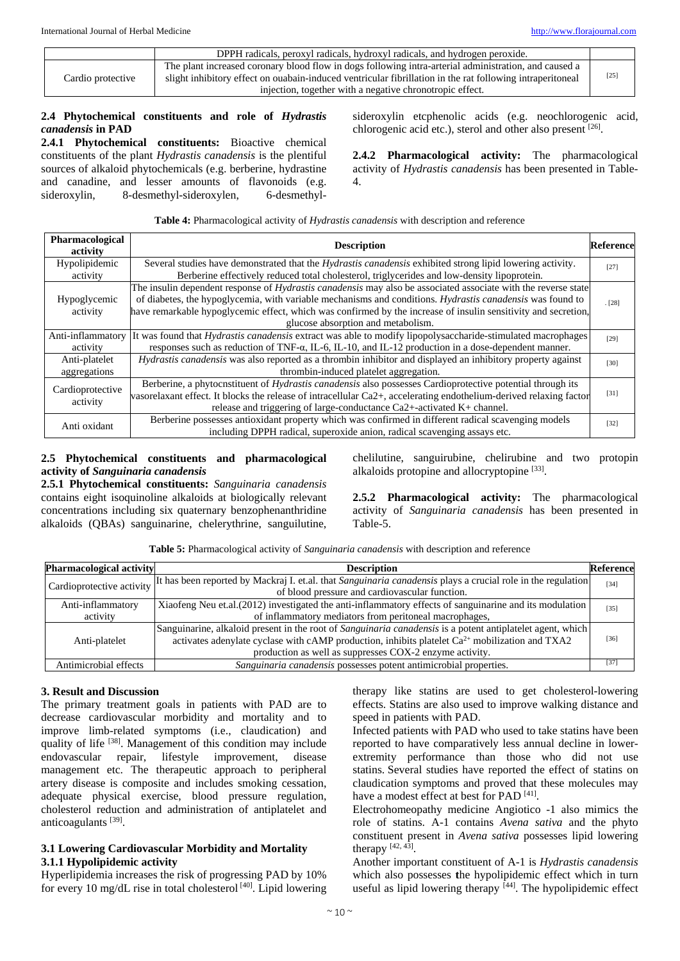|                   | DPPH radicals, peroxyl radicals, hydroxyl radicals, and hydrogen peroxide.                                                                                                                                                                                                     |        |
|-------------------|--------------------------------------------------------------------------------------------------------------------------------------------------------------------------------------------------------------------------------------------------------------------------------|--------|
| Cardio protective | The plant increased coronary blood flow in dogs following intra-arterial administration, and caused a<br>slight inhibitory effect on ouabain-induced ventricular fibrillation in the rat following intraperitoneal<br>injection, together with a negative chronotropic effect. | $[25]$ |

## **2.4 Phytochemical constituents and role of** *Hydrastis canadensis* **in PAD**

**2.4.1 Phytochemical constituents:** Bioactive chemical constituents of the plant *Hydrastis canadensis* is the plentiful sources of alkaloid phytochemicals (e.g. berberine, hydrastine and canadine, and lesser amounts of flavonoids (e.g. sideroxylin, 8-desmethyl-sideroxylen, 6-desmethyl-

sideroxylin etcphenolic acids (e.g. neochlorogenic acid, chlorogenic acid etc.), sterol and other also present [26].

**2.4.2 Pharmacological activity:** The pharmacological activity of *Hydrastis canadensis* has been presented in Table-4.

**Table 4:** Pharmacological activity of *Hydrastis canadensis* with description and reference

| Pharmacological<br>activity  | <b>Description</b>                                                                                                    | <b>Reference</b> |
|------------------------------|-----------------------------------------------------------------------------------------------------------------------|------------------|
| Hypolipidemic                | Several studies have demonstrated that the <i>Hydrastis canadensis</i> exhibited strong lipid lowering activity.      | $[27]$           |
| activity                     | Berberine effectively reduced total cholesterol, triglycerides and low-density lipoprotein.                           |                  |
|                              | The insulin dependent response of <i>Hydrastis canadensis</i> may also be associated associate with the reverse state |                  |
| Hypoglycemic                 | of diabetes, the hypoglycemia, with variable mechanisms and conditions. Hydrastis canadensis was found to             | . [28]           |
| activity                     | have remarkable hypoglycemic effect, which was confirmed by the increase of insulin sensitivity and secretion,        |                  |
|                              | glucose absorption and metabolism.                                                                                    |                  |
| Anti-inflammatory            | It was found that <i>Hydrastis canadensis</i> extract was able to modify lipopolysaccharide-stimulated macrophages    | [29]             |
| activity                     | responses such as reduction of TNF- $\alpha$ , IL-6, IL-10, and IL-12 production in a dose-dependent manner.          |                  |
| Anti-platelet                | <i>Hydrastis canadensis</i> was also reported as a thrombin inhibitor and displayed an inhibitory property against    | [30]             |
| aggregations                 | thrombin-induced platelet aggregation.                                                                                |                  |
|                              | Berberine, a phytocnstituent of <i>Hydrastis canadensis</i> also possesses Cardioprotective potential through its     |                  |
| Cardioprotective<br>activity | vasorelaxant effect. It blocks the release of intracellular Ca2+, accelerating endothelium-derived relaxing factor    | $[31]$           |
|                              | release and triggering of large-conductance Ca2+-activated K+ channel.                                                |                  |
| Anti oxidant                 | Berberine possesses antioxidant property which was confirmed in different radical scavenging models                   | $[32]$           |
|                              | including DPPH radical, superoxide anion, radical scavenging assays etc.                                              |                  |

## **2.5 Phytochemical constituents and pharmacological activity of** *Sanguinaria canadensis*

**2.5.1 Phytochemical constituents:** *Sanguinaria canadensis* contains eight isoquinoline alkaloids at biologically relevant concentrations including six quaternary benzophenanthridine alkaloids (QBAs) sanguinarine, chelerythrine, sanguilutine, chelilutine, sanguirubine, chelirubine and two protopin alkaloids protopine and allocryptopine [33].

**2.5.2 Pharmacological activity:** The pharmacological activity of *Sanguinaria canadensis* has been presented in Table-5.

**Table 5:** Pharmacological activity of *Sanguinaria canadensis* with description and reference

| Pharmacological activity      | <b>Description</b>                                                                                                                                                                                                                                                           | Reference |
|-------------------------------|------------------------------------------------------------------------------------------------------------------------------------------------------------------------------------------------------------------------------------------------------------------------------|-----------|
|                               | Cardioprotective activity It has been reported by Mackraj I. et.al. that Sanguinaria canadensis plays a crucial role in the regulation<br>of blood pressure and cardiovascular function.                                                                                     | $[34]$    |
| Anti-inflammatory<br>activity | Xiaofeng Neu et.al. (2012) investigated the anti-inflammatory effects of sanguinarine and its modulation<br>of inflammatory mediators from peritoneal macrophages,                                                                                                           | $[35]$    |
| Anti-platelet                 | Sanguinarine, alkaloid present in the root of Sanguinaria canadensis is a potent antiplatelet agent, which<br>activates adenylate cyclase with cAMP production, inhibits platelet $Ca^{2+}$ mobilization and TXA2<br>production as well as suppresses COX-2 enzyme activity. | $[36]$    |
| Antimicrobial effects         | Sanguinaria canadensis possesses potent antimicrobial properties.                                                                                                                                                                                                            | [37]      |

## **3. Result and Discussion**

The primary treatment goals in patients with PAD are to decrease cardiovascular morbidity and mortality and to improve limb-related symptoms (i.e., claudication) and quality of life [38]. Management of this condition may include endovascular repair, lifestyle improvement, disease management etc. The therapeutic approach to peripheral artery disease is composite and includes smoking cessation, adequate physical exercise, blood pressure regulation, cholesterol reduction and administration of antiplatelet and anticoagulants [39].

## **3.1 Lowering Cardiovascular Morbidity and Mortality 3.1.1 Hypolipidemic activity**

Hyperlipidemia increases the risk of progressing PAD by 10% for every 10 mg/dL rise in total cholesterol [40]. Lipid lowering

therapy like statins are used to get cholesterol-lowering effects. Statins are also used to improve walking distance and speed in patients with PAD.

Infected patients with PAD who used to take statins have been reported to have comparatively less annual decline in lowerextremity performance than those who did not use statins. Several studies have reported the effect of statins on claudication symptoms and proved that these molecules may have a modest effect at best for PAD [41].

Electrohomeopathy medicine Angiotico -1 also mimics the role of statins. A-1 contains *Avena sativa* and the phyto constituent present in *Avena sativa* possesses lipid lowering therapy  $[42, 43]$ .

Another important constituent of A-1 is *Hydrastis canadensis* which also possesses **t**he hypolipidemic effect which in turn useful as lipid lowering therapy  $[44]$ . The hypolipidemic effect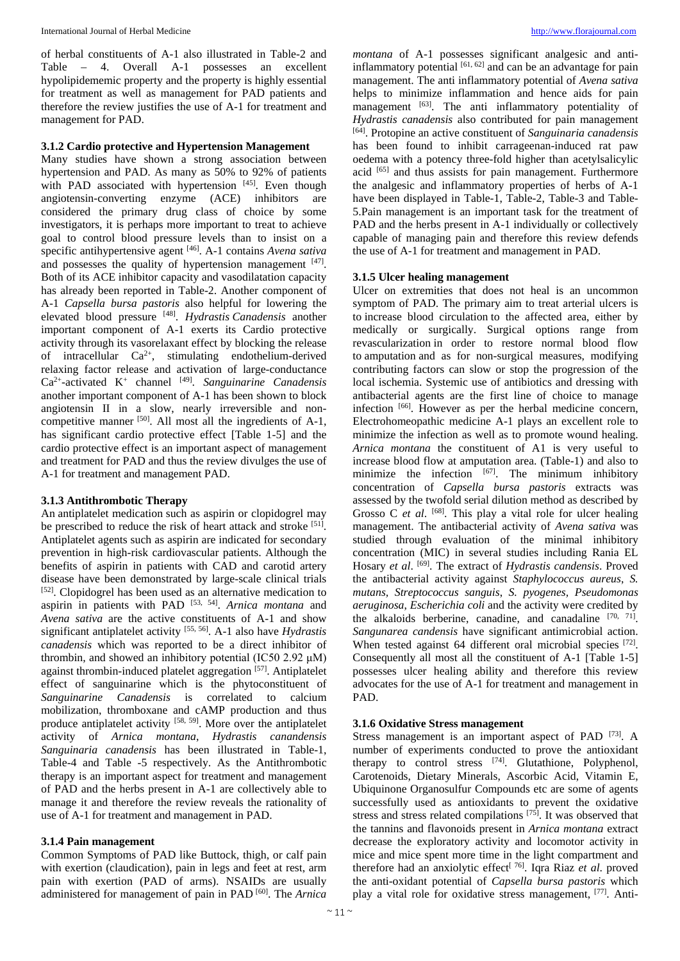of herbal constituents of A-1 also illustrated in Table-2 and Table – 4. Overall A-1 possesses an excellent hypolipidememic property and the property is highly essential for treatment as well as management for PAD patients and therefore the review justifies the use of A-1 for treatment and management for PAD.

#### **3.1.2 Cardio protective and Hypertension Management**

Many studies have shown a strong association between hypertension and PAD. As many as 50% to 92% of patients with PAD associated with hypertension  $^{[45]}$ . Even though angiotensin-converting enzyme (ACE) inhibitors are considered the primary drug class of choice by some investigators, it is perhaps more important to treat to achieve goal to control blood pressure levels than to insist on a specific antihypertensive agent [46]. A-1 contains *Avena sativa* and possesses the quality of hypertension management [47]. Both of its ACE inhibitor capacity and vasodilatation capacity has already been reported in Table-2. Another component of A-1 *Capsella bursa pastoris* also helpful for lowering the elevated blood pressure [48]. *Hydrastis Canadensis* another important component of A-1 exerts its Cardio protective activity through its vasorelaxant effect by blocking the release of intracellular  $Ca^{2+}$ , stimulating endothelium-derived relaxing factor release and activation of large-conductance Ca2+-activated K+ channel [49]. *Sanguinarine Canadensis* another important component of A-1 has been shown to block angiotensin II in a slow, nearly irreversible and noncompetitive manner  $[50]$ . All most all the ingredients of A-1, has significant cardio protective effect [Table 1-5] and the cardio protective effect is an important aspect of management and treatment for PAD and thus the review divulges the use of A-1 for treatment and management PAD.

## **3.1.3 Antithrombotic Therapy**

An antiplatelet medication such as aspirin or clopidogrel may be prescribed to reduce the risk of heart attack and stroke [51]. Antiplatelet agents such as aspirin are indicated for secondary prevention in high-risk cardiovascular patients. Although the benefits of aspirin in patients with CAD and carotid artery disease have been demonstrated by large-scale clinical trials [52]. Clopidogrel has been used as an alternative medication to aspirin in patients with PAD [53, 54]. *Arnica montana* and *Avena sativa* are the active constituents of A-1 and show significant antiplatelet activity [55, 56]. A-1 also have *Hydrastis canadensis* which was reported to be a direct inhibitor of thrombin, and showed an inhibitory potential (IC50 2.92 μM) against thrombin-induced platelet aggregation [57]. Antiplatelet effect of sanguinarine which is the phytoconstituent of *Sanguinarine Canadensis* is correlated to calcium mobilization, thromboxane and cAMP production and thus produce antiplatelet activity [58, 59]. More over the antiplatelet activity of *Arnica montana*, *Hydrastis canandensis Sanguinaria canadensis* has been illustrated in Table-1, Table-4 and Table -5 respectively. As the Antithrombotic therapy is an important aspect for treatment and management of PAD and the herbs present in A-1 are collectively able to manage it and therefore the review reveals the rationality of use of A-1 for treatment and management in PAD.

## **3.1.4 Pain management**

Common Symptoms of PAD like Buttock, thigh, or calf pain with exertion (claudication), pain in legs and feet at rest, arm pain with exertion (PAD of arms). NSAIDs are usually administered for management of pain in PAD [60]. The *Arnica* 

*montana* of A-1 possesses significant analgesic and antiinflammatory potential  $[61, 62]$  and can be an advantage for pain management. The anti inflammatory potential of *Avena sativa* helps to minimize inflammation and hence aids for pain management [63]. The anti inflammatory potentiality of *Hydrastis canadensis* also contributed for pain management [64]. Protopine an active constituent of *Sanguinaria canadensis* has been found to inhibit carrageenan-induced rat paw oedema with a potency three-fold higher than acetylsalicylic acid [65] and thus assists for pain management. Furthermore the analgesic and inflammatory properties of herbs of A-1 have been displayed in Table-1, Table-2, Table-3 and Table-5.Pain management is an important task for the treatment of PAD and the herbs present in A-1 individually or collectively capable of managing pain and therefore this review defends the use of A-1 for treatment and management in PAD.

#### **3.1.5 Ulcer healing management**

Ulcer on extremities that does not heal is an uncommon symptom of PAD. The primary aim to treat arterial ulcers is to increase blood circulation to the affected area, either by medically or surgically. Surgical options range from revascularization in order to restore normal blood flow to amputation and as for non-surgical measures, modifying contributing factors can slow or stop the progression of the local ischemia. Systemic use of antibiotics and dressing with antibacterial agents are the first line of choice to manage infection [66]. However as per the herbal medicine concern, Electrohomeopathic medicine A-1 plays an excellent role to minimize the infection as well as to promote wound healing. *Arnica montana* the constituent of A1 is very useful to increase blood flow at amputation area. (Table-1) and also to minimize the infection  $[67]$ . The minimum inhibitory concentration of *Capsella bursa pastoris* extracts was assessed by the twofold serial dilution method as described by Grosso C *et al.* <sup>[68]</sup>. This play a vital role for ulcer healing management. The antibacterial activity of *Avena sativa* was studied through evaluation of the minimal inhibitory concentration (MIC) in several studies including Rania EL Hosary *et al*. [69]. The extract of *Hydrastis candensis*. Proved the antibacterial activity against *Staphylococcus aureus*, *S. mutans, Streptococcus sanguis*, *S. pyogenes, Pseudomonas aeruginosa*, *Escherichia coli* and the activity were credited by the alkaloids berberine, canadine, and canadaline  $[70, 71]$ . *Sangunarea candensis* have significant antimicrobial action. When tested against 64 different oral microbial species [72]. Consequently all most all the constituent of A-1 [Table 1-5] possesses ulcer healing ability and therefore this review advocates for the use of A-1 for treatment and management in PAD.

## **3.1.6 Oxidative Stress management**

Stress management is an important aspect of PAD [73]. A number of experiments conducted to prove the antioxidant therapy to control stress [74]. Glutathione, Polyphenol, Carotenoids, Dietary Minerals, Ascorbic Acid, Vitamin E, Ubiquinone Organosulfur Compounds etc are some of agents successfully used as antioxidants to prevent the oxidative stress and stress related compilations  $[75]$ . It was observed that the tannins and flavonoids present in *Arnica montana* extract decrease the exploratory activity and locomotor activity in mice and mice spent more time in the light compartment and therefore had an anxiolytic effect<sup>[ 76]</sup>. Igra Riaz *et al.* proved the anti-oxidant potential of *Capsella bursa pastoris* which play a vital role for oxidative stress management, [77]. Anti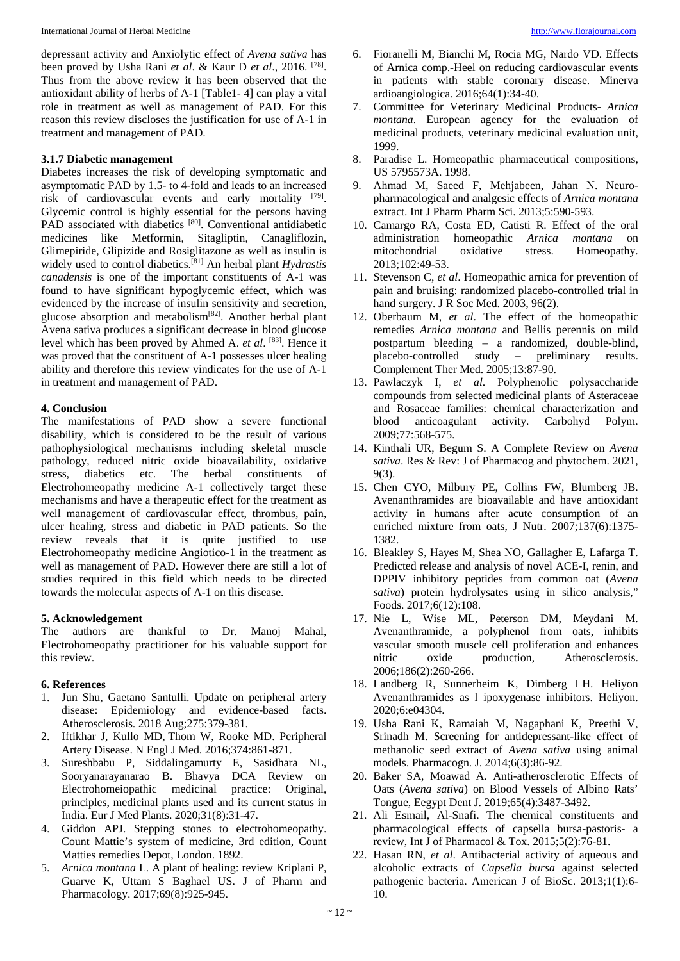depressant activity and Anxiolytic effect of *Avena sativa* has been proved by Usha Rani *et al*. & Kaur D *et al*., 2016. [78]. Thus from the above review it has been observed that the antioxidant ability of herbs of A-1 [Table1- 4] can play a vital role in treatment as well as management of PAD. For this reason this review discloses the justification for use of A-1 in treatment and management of PAD.

#### **3.1.7 Diabetic management**

Diabetes increases the risk of developing symptomatic and asymptomatic PAD by 1.5- to 4-fold and leads to an increased risk of cardiovascular events and early mortality  $[79]$ . Glycemic control is highly essential for the persons having PAD associated with diabetics [80]. Conventional antidiabetic medicines like Metformin, Sitagliptin, Canagliflozin, Glimepiride, Glipizide and Rosiglitazone as well as insulin is widely used to control diabetics.[81] An herbal plant *Hydrastis canadensis* is one of the important constituents of A-1 was found to have significant hypoglycemic effect, which was evidenced by the increase of insulin sensitivity and secretion, glucose absorption and metabolism[82]. Another herbal plant Avena sativa produces a significant decrease in blood glucose level which has been proved by Ahmed A. *et al*. [83]. Hence it was proved that the constituent of A-1 possesses ulcer healing ability and therefore this review vindicates for the use of A-1 in treatment and management of PAD.

#### **4. Conclusion**

The manifestations of PAD show a severe functional disability, which is considered to be the result of various pathophysiological mechanisms including skeletal muscle pathology, reduced nitric oxide bioavailability, oxidative stress, diabetics etc. The herbal constituents of Electrohomeopathy medicine A-1 collectively target these mechanisms and have a therapeutic effect for the treatment as well management of cardiovascular effect, thrombus, pain, ulcer healing, stress and diabetic in PAD patients. So the review reveals that it is quite justified to use Electrohomeopathy medicine Angiotico-1 in the treatment as well as management of PAD. However there are still a lot of studies required in this field which needs to be directed towards the molecular aspects of A-1 on this disease.

#### **5. Acknowledgement**

The authors are thankful to Dr. Manoj Mahal, Electrohomeopathy practitioner for his valuable support for this review.

#### **6. References**

- 1. Jun Shu, Gaetano Santulli. Update on peripheral artery disease: Epidemiology and evidence-based facts. Atherosclerosis. 2018 Aug;275:379-381.
- 2. Iftikhar J, Kullo MD, Thom W, Rooke MD. Peripheral Artery Disease. N Engl J Med. 2016;374:861-871.
- 3. Sureshbabu P, Siddalingamurty E, Sasidhara NL, Sooryanarayanarao B. Bhavya DCA Review on Electrohomeiopathic medicinal practice: Original, principles, medicinal plants used and its current status in India. Eur J Med Plants. 2020;31(8):31-47.
- 4. Giddon APJ. Stepping stones to electrohomeopathy. Count Mattie's system of medicine, 3rd edition, Count Matties remedies Depot, London. 1892.
- 5. *Arnica montana* L. A plant of healing: review Kriplani P, Guarve K, Uttam S Baghael US. J of Pharm and Pharmacology. 2017;69(8):925-945.
- 6. Fioranelli M, Bianchi M, Rocia MG, Nardo VD. Effects of Arnica comp.-Heel on reducing cardiovascular events in patients with stable coronary disease. Minerva ardioangiologica. 2016;64(1):34-40.
- 7. Committee for Veterinary Medicinal Products- *Arnica montana*. European agency for the evaluation of medicinal products, veterinary medicinal evaluation unit, 1999.
- 8. Paradise L. Homeopathic pharmaceutical compositions, US 5795573A. 1998.
- 9. Ahmad M, Saeed F, Mehjabeen, Jahan N. Neuropharmacological and analgesic effects of *Arnica montana* extract. Int J Pharm Pharm Sci. 2013;5:590-593.
- 10. Camargo RA, Costa ED, Catisti R. Effect of the oral administration homeopathic *Arnica montana* on mitochondrial oxidative stress. Homeopathy. 2013;102:49-53.
- 11. Stevenson C, *et al*. Homeopathic arnica for prevention of pain and bruising: randomized placebo-controlled trial in hand surgery. J R Soc Med. 2003, 96(2).
- 12. Oberbaum M, *et al*. The effect of the homeopathic remedies *Arnica montana* and Bellis perennis on mild postpartum bleeding – a randomized, double-blind, placebo-controlled study – preliminary results. Complement Ther Med. 2005;13:87-90.
- 13. Pawlaczyk I, *et al*. Polyphenolic polysaccharide compounds from selected medicinal plants of Asteraceae and Rosaceae families: chemical characterization and blood anticoagulant activity. Carbohyd Polym. 2009;77:568-575.
- 14. Kinthali UR, Begum S. A Complete Review on *Avena sativa*. Res & Rev: J of Pharmacog and phytochem. 2021, 9(3).
- 15. Chen CYO, Milbury PE, Collins FW, Blumberg JB. Avenanthramides are bioavailable and have antioxidant activity in humans after acute consumption of an enriched mixture from oats, J Nutr. 2007;137(6):1375- 1382.
- 16. Bleakley S, Hayes M, Shea NO, Gallagher E, Lafarga T. Predicted release and analysis of novel ACE-I, renin, and DPPIV inhibitory peptides from common oat (*Avena sativa*) protein hydrolysates using in silico analysis," Foods. 2017;6(12):108.
- 17. Nie L, Wise ML, Peterson DM, Meydani M. Avenanthramide, a polyphenol from oats, inhibits vascular smooth muscle cell proliferation and enhances nitric oxide production, Atherosclerosis. 2006;186(2):260-266.
- 18. Landberg R, Sunnerheim K, Dimberg LH. Heliyon Avenanthramides as l ipoxygenase inhibitors. Heliyon. 2020;6:e04304.
- 19. Usha Rani K, Ramaiah M, Nagaphani K, Preethi V, Srinadh M. Screening for antidepressant-like effect of methanolic seed extract of *Avena sativa* using animal models. Pharmacogn. J. 2014;6(3):86-92.
- 20. Baker SA, Moawad A. Anti-atherosclerotic Effects of Oats (*Avena sativa*) on Blood Vessels of Albino Rats' Tongue, Eegypt Dent J. 2019;65(4):3487-3492.
- 21. Ali Esmail, Al-Snafi. The chemical constituents and pharmacological effects of capsella bursa-pastoris- a review, Int J of Pharmacol & Tox. 2015;5(2):76-81.
- 22. Hasan RN, *et al*. Antibacterial activity of aqueous and alcoholic extracts of *Capsella bursa* against selected pathogenic bacteria. American J of BioSc. 2013;1(1):6- 10.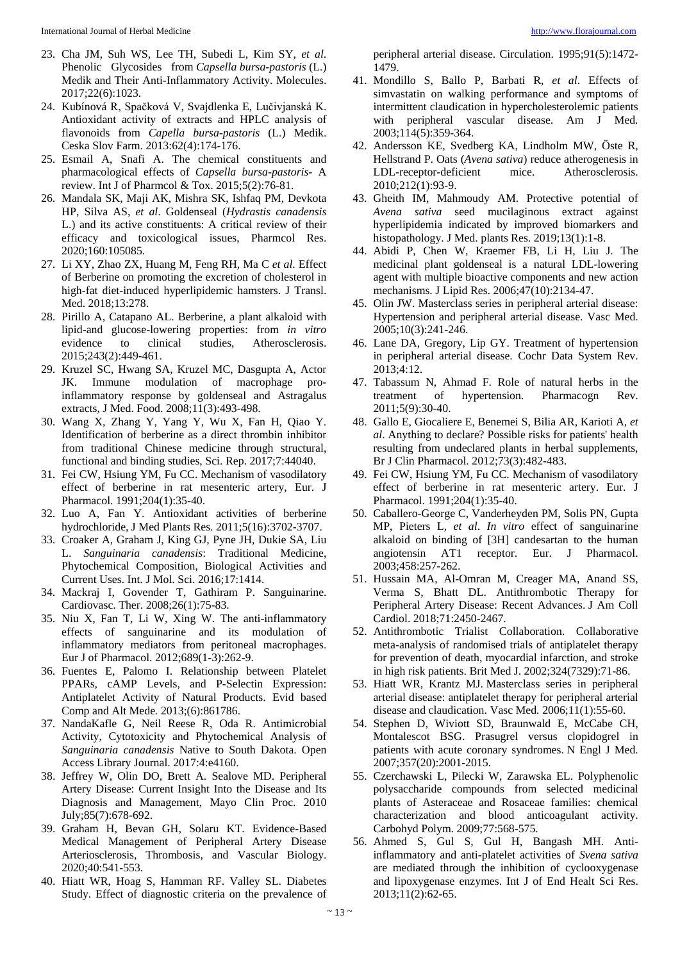- 23. Cha JM, Suh WS, Lee TH, Subedi L, Kim SY, *et al*. Phenolic Glycosides from *Capsella bursa-pastoris* (L.) Medik and Their Anti-Inflammatory Activity. Molecules. 2017;22(6):1023.
- 24. Kubínová R, Spačková V, Svajdlenka E, Lučivjanská K. Antioxidant activity of extracts and HPLC analysis of flavonoids from *Capella bursa-pastoris* (L.) Medik. Ceska Slov Farm. 2013:62(4):174-176.
- 25. Esmail A, Snafi A. The chemical constituents and pharmacological effects of *Capsella bursa-pastoris*- A review. Int J of Pharmcol & Tox. 2015;5(2):76-81.
- 26. Mandala SK, Maji AK, Mishra SK, Ishfaq PM, Devkota HP, Silva AS, *et al*. Goldenseal (*Hydrastis canadensis* L.) and its active constituents: A critical review of their efficacy and toxicological issues, Pharmcol Res. 2020;160:105085.
- 27. Li XY, Zhao ZX, Huang M, Feng RH, Ma C *et al*. Effect of Berberine on promoting the excretion of cholesterol in high-fat diet-induced hyperlipidemic hamsters. J Transl. Med. 2018;13:278.
- 28. Pirillo A, Catapano AL. Berberine, a plant alkaloid with lipid-and glucose-lowering properties: from *in vitro* evidence to clinical studies, Atherosclerosis. 2015;243(2):449-461.
- 29. Kruzel SC, Hwang SA, Kruzel MC, Dasgupta A, Actor JK. Immune modulation of macrophage proinflammatory response by goldenseal and Astragalus extracts, J Med. Food. 2008;11(3):493-498.
- 30. Wang X, Zhang Y, Yang Y, Wu X, Fan H, Qiao Y. Identification of berberine as a direct thrombin inhibitor from traditional Chinese medicine through structural, functional and binding studies, Sci. Rep. 2017;7:44040.
- 31. Fei CW, Hsiung YM, Fu CC. Mechanism of vasodilatory effect of berberine in rat mesenteric artery, Eur. J Pharmacol. 1991;204(1):35-40.
- 32. Luo A, Fan Y. Antioxidant activities of berberine hydrochloride, J Med Plants Res. 2011;5(16):3702-3707.
- 33. Croaker A, Graham J, King GJ, Pyne JH, Dukie SA, Liu L. *Sanguinaria canadensis*: Traditional Medicine, Phytochemical Composition, Biological Activities and Current Uses. Int. J Mol. Sci. 2016;17:1414.
- 34. Mackraj I, Govender T, Gathiram P. Sanguinarine. Cardiovasc. Ther. 2008;26(1):75-83.
- 35. Niu X, Fan T, Li W, Xing W. The anti-inflammatory effects of sanguinarine and its modulation of inflammatory mediators from peritoneal macrophages. Eur J of Pharmacol. 2012;689(1-3):262-9.
- 36. Fuentes E, Palomo I. Relationship between Platelet PPARs, cAMP Levels, and P-Selectin Expression: Antiplatelet Activity of Natural Products. Evid based Comp and Alt Mede. 2013;(6):861786.
- 37. NandaKafle G, Neil Reese R, Oda R. Antimicrobial Activity, Cytotoxicity and Phytochemical Analysis of *Sanguinaria canadensis* Native to South Dakota. Open Access Library Journal. 2017:4:e4160.
- 38. Jeffrey W, Olin DO, Brett A. Sealove MD. Peripheral Artery Disease: Current Insight Into the Disease and Its Diagnosis and Management, Mayo Clin Proc. 2010 July;85(7):678-692.
- 39. Graham H, Bevan GH, Solaru KT. Evidence-Based Medical Management of Peripheral Artery Disease Arteriosclerosis, Thrombosis, and Vascular Biology. 2020;40:541-553.
- 40. Hiatt WR, Hoag S, Hamman RF. Valley SL. Diabetes Study. Effect of diagnostic criteria on the prevalence of

peripheral arterial disease. Circulation. 1995;91(5):1472- 1479.

- 41. Mondillo S, Ballo P, Barbati R, *et al*. Effects of simvastatin on walking performance and symptoms of intermittent claudication in hypercholesterolemic patients with peripheral vascular disease. Am J Med*.* 2003;114(5):359-364.
- 42. Andersson KE, Svedberg KA, Lindholm MW, Öste R, Hellstrand P. Oats (*Avena sativa*) reduce atherogenesis in LDL-receptor-deficient mice. Atherosclerosis. 2010;212(1):93-9.
- 43. Gheith IM, Mahmoudy AM. Protective potential of *Avena sativa* seed mucilaginous extract against hyperlipidemia indicated by improved biomarkers and histopathology. J Med. plants Res. 2019;13(1):1-8.
- 44. Abidi P, Chen W, Kraemer FB, Li H, Liu J. The medicinal plant goldenseal is a natural LDL-lowering agent with multiple bioactive components and new action mechanisms. J Lipid Res. 2006;47(10):2134-47.
- 45. Olin JW. Masterclass series in peripheral arterial disease: Hypertension and peripheral arterial disease. Vasc Med. 2005;10(3):241-246.
- 46. Lane DA, Gregory, Lip GY. Treatment of hypertension in peripheral arterial disease. Cochr Data System Rev. 2013;4:12.
- 47. Tabassum N, Ahmad F. Role of natural herbs in the treatment of hypertension. Pharmacogn Rev. treatment of hypertension. Pharmacogn Rev. 2011;5(9):30-40.
- 48. Gallo E, Giocaliere E, Benemei S, Bilia AR, Karioti A, *et al*. Anything to declare? Possible risks for patients' health resulting from undeclared plants in herbal supplements, Br J Clin Pharmacol. 2012;73(3):482-483.
- 49. Fei CW, Hsiung YM, Fu CC. Mechanism of vasodilatory effect of berberine in rat mesenteric artery. Eur. J Pharmacol. 1991;204(1):35-40.
- 50. Caballero-George C, Vanderheyden PM, Solis PN, Gupta MP, Pieters L, *et al*. *In vitro* effect of sanguinarine alkaloid on binding of [3H] candesartan to the human angiotensin AT1 receptor. Eur. J Pharmacol. 2003;458:257-262.
- 51. Hussain MA, Al-Omran M, Creager MA, Anand SS, Verma S, Bhatt DL. Antithrombotic Therapy for Peripheral Artery Disease: Recent Advances. J Am Coll Cardiol. 2018;71:2450-2467.
- 52. Antithrombotic Trialist Collaboration. Collaborative meta-analysis of randomised trials of antiplatelet therapy for prevention of death, myocardial infarction, and stroke in high risk patients. Brit Med J. 2002;324(7329):71-86.
- 53. Hiatt WR, Krantz MJ. Masterclass series in peripheral arterial disease: antiplatelet therapy for peripheral arterial disease and claudication. Vasc Med*.* 2006;11(1):55-60.
- 54. Stephen D, Wiviott SD, Braunwald E, McCabe CH, Montalescot BSG. Prasugrel versus clopidogrel in patients with acute coronary syndromes. N Engl J Med*.* 2007;357(20):2001-2015.
- 55. Czerchawski L, Pilecki W, Zarawska EL. Polyphenolic polysaccharide compounds from selected medicinal plants of Asteraceae and Rosaceae families: chemical characterization and blood anticoagulant activity. Carbohyd Polym. 2009;77:568-575.
- 56. Ahmed S, Gul S, Gul H, Bangash MH. Antiinflammatory and anti-platelet activities of *Svena sativa*  are mediated through the inhibition of cyclooxygenase and lipoxygenase enzymes. Int J of End Healt Sci Res. 2013;11(2):62-65.